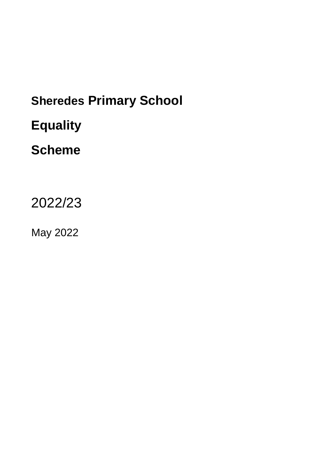# **Sheredes Primary School Equality**

## **Scheme**

2022/23

May 2022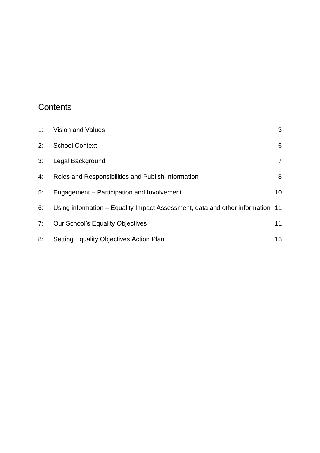## **Contents**

| 1: | <b>Vision and Values</b>                                                      | 3              |
|----|-------------------------------------------------------------------------------|----------------|
| 2: | <b>School Context</b>                                                         | 6              |
| 3: | Legal Background                                                              | $\overline{7}$ |
| 4: | Roles and Responsibilities and Publish Information                            | 8              |
| 5: | Engagement – Participation and Involvement                                    | 10             |
| 6: | Using information – Equality Impact Assessment, data and other information 11 |                |
| 7: | <b>Our School's Equality Objectives</b>                                       | 11             |
| 8: | <b>Setting Equality Objectives Action Plan</b>                                | 13             |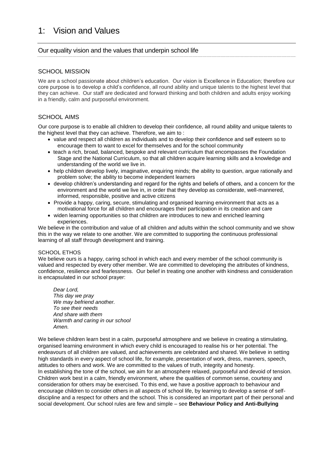## <span id="page-2-0"></span>1: Vision and Values

#### Our equality vision and the values that underpin school life

#### SCHOOL MISSION

We are a school passionate about children's education. Our vision is Excellence in Education; therefore our core purpose is to develop a child's confidence, all round ability and unique talents to the highest level that they can achieve. Our staff are dedicated and forward thinking and both children and adults enjoy working in a friendly, calm and purposeful environment.

#### SCHOOL AIMS

Our core purpose is to enable all children to develop their confidence, all round ability and unique talents to the highest level that they can achieve. Therefore, we aim to :

- value and respect all children as individuals and to develop their confidence and self esteem so to encourage them to want to excel for themselves and for the school community
- teach a rich, broad, balanced, bespoke and relevant curriculum that encompasses the Foundation Stage and the National Curriculum, so that all children acquire learning skills and a knowledge and understanding of the world we live in.
- help children develop lively, imaginative, enquiring minds; the ability to question, argue rationally and problem solve; the ability to become independent learners
- develop children's understanding and regard for the rights and beliefs of others, and a concern for the environment and the world we live in, in order that they develop as considerate, well-mannered, informed, responsible, positive and active citizens
- Provide a happy, caring, secure, stimulating and organised learning environment that acts as a motivational force for all children and encourages their participation in its creation and care
- widen learning opportunities so that children are introduces to new and enriched learning experiences.

We believe in the contribution and value of all children *and* adults within the school community and we show this in the way we relate to one another. We are committed to supporting the continuous professional learning of all staff through development and training.

#### SCHOOL ETHOS

We believe ours is a happy, caring school in which each and every member of the school community is valued and respected by every other member. We are committed to developing the attributes of kindness, confidence, resilience and fearlessness. Our belief in treating one another with kindness and consideration is encapsulated in our school prayer:

*Dear Lord, This day we pray We may befriend another. To see their needs And share with them Warmth and caring in our school Amen.*

We believe children learn best in a calm, purposeful atmosphere and we believe in creating a stimulating, organised learning environment in which every child is encouraged to realise his or her potential. The endeavours of all children are valued, and achievements are celebrated and shared. We believe in setting high standards in every aspect of school life, for example, presentation of work, dress, manners, speech, attitudes to others and work. We are committed to the values of truth, integrity and honesty. In establishing the tone of the school, we aim for an atmosphere relaxed, purposeful and devoid of tension. Children work best in a calm, friendly environment, where the qualities of common sense, courtesy and consideration for others may be exercised. To this end, we have a positive approach to behaviour and encourage children to consider others in all aspects of school life, by learning to develop a sense of selfdiscipline and a respect for others and the school. This is considered an important part of their personal and social development. Our school rules are few and simple – see **Behaviour Policy and Anti-Bullying**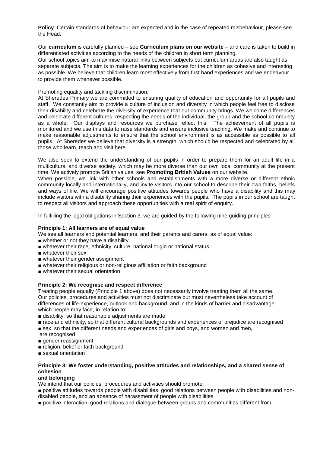**Policy**. Certain standards of behaviour are expected and in the case of repeated misbehaviour, please see the Head.

Our **curriculum** is carefully planned – see **Curriculum plans on our website** – and care is taken to build in differentiated activities according to the needs of the children in short term planning.

Our school topics aim to maximise natural links between subjects but curriculum areas are also taught as separate subjects. The aim is to make the learning experiences for the children as cohesive and interesting as possible. We believe that children learn most effectively from first hand experiences and we endeavour to provide them whenever possible.

Promoting equality and tackling discrimination:

At Sheredes Primary we are committed to ensuring quality of education and opportunity for all pupils and staff. We constantly aim to provide a culture of inclusion and diversity in which people feel free to disclose their disability and celebrate the diversity of experience that out community brings. We welcome differences and celebrate different cultures, respecting the needs of the individual, the group and the school community as a whole. Our displays and resources we purchase reflect this.The achievement of all pupils is monitored and we use this data to raise standards and ensure inclusive teaching. We make and continue to make reasonable adjustments to ensure that the school environment is as accessible as possible to all pupils. At Sheredes we believe that diversity is a strength, which should be respected and celebrated by all those who learn, teach and visit here.

We also seek to extend the understanding of our pupils in order to prepare them for an adult life in a multicultural and diverse society, which may be more diverse than our own local community at the present time. We actively promote British values; see **Promoting British Values** on our website.

When possible, we link with other schools and establishments with a more diverse or different ethnic community locally and internationally, and invite visitors into our school to describe their own faiths, beliefs and ways of life. We will encourage positive attitudes towards people who have a disability and this may include visitors with a disability sharing their experiences with the pupils. The pupils in our school are taught to respect all visitors and approach these opportunities with a real spirit of enquiry.

In fulfilling the legal obligations in Section 3, we are guided by the following nine guiding principles:

#### **Principle 1: All learners are of equal value**

We see all learners and potential learners, and their parents and carers, as of equal value:

- whether or not they have a disability
- whatever their race, ethnicity, culture, national origin or national status
- whatever their sex
- whatever their gender assignment
- whatever their religious or non-religious affiliation or faith background
- whatever their sexual orientation

#### **Principle 2: We recognise and respect difference**

Treating people equally (Principle 1 above) does not necessarily involve treating them all the same. Our policies, procedures and activities must not discriminate but must nevertheless take account of differences of life-experience, outlook and background, and in the kinds of barrier and disadvantage which people may face, in relation to:

- disability, so that reasonable adjustments are made
- race and ethnicity, so that different cultural backgrounds and experiences of prejudice are recognised
- sex, so that the different needs and experiences of girls and boys, and women and men, are recognised
- gender reassignment
- religion, belief or faith background
- sexual orientation

#### **Principle 3: We foster understanding, positive attitudes and relationships, and a shared sense of cohesion**

#### **and belonging**

We intend that our policies, procedures and activities should promote:

■ positive attitudes towards people with disabilities, good relations between people with disabilities and nondisabled people, and an absence of harassment of people with disabilities

■ positive interaction, good relations and dialogue between groups and communities different from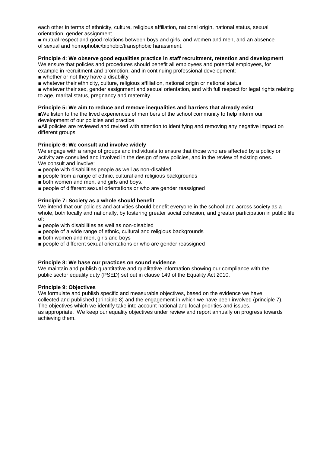each other in terms of ethnicity, culture, religious affiliation, national origin, national status, sexual orientation, gender assignment

■ mutual respect and good relations between boys and girls, and women and men, and an absence of sexual and homophobic/biphobic/transphobic harassment.

#### **Principle 4: We observe good equalities practice in staff recruitment, retention and development**

We ensure that policies and procedures should benefit all employees and potential employees, for example in recruitment and promotion, and in continuing professional development:

- whether or not they have a disability
- whatever their ethnicity, culture, religious affiliation, national origin or national status
- whatever their sex, gender assignment and sexual orientation, and with full respect for legal rights relating to age, marital status, pregnancy and maternity.

#### **Principle 5: We aim to reduce and remove inequalities and barriers that already exist**

■We listen to the the lived experiences of members of the school community to help inform our development of our policies and practice

■All policies are reviewed and revised with attention to identifying and removing any negative impact on different groups

#### **Principle 6: We consult and involve widely**

We engage with a range of groups and individuals to ensure that those who are affected by a policy or activity are consulted and involved in the design of new policies, and in the review of existing ones. We consult and involve:

- people with disabilities people as well as non-disabled
- people from a range of ethnic, cultural and religious backgrounds
- both women and men, and girls and boys.
- people of different sexual orientations or who are gender reassigned

#### **Principle 7: Society as a whole should benefit**

We intend that our policies and activities should benefit everyone in the school and across society as a whole, both locally and nationally, by fostering greater social cohesion, and greater participation in public life of:

- people with disabilities as well as non-disabled
- people of a wide range of ethnic, cultural and religious backgrounds
- both women and men, girls and boys
- people of different sexual orientations or who are gender reassigned

#### **Principle 8: We base our practices on sound evidence**

We maintain and publish quantitative and qualitative information showing our compliance with the public sector equality duty (PSED) set out in clause 149 of the Equality Act 2010.

#### **Principle 9: Objectives**

We formulate and publish specific and measurable objectives, based on the evidence we have collected and published (principle 8) and the engagement in which we have been involved (principle 7). The objectives which we identify take into account national and local priorities and issues, as appropriate. We keep our equality objectives under review and report annually on progress towards achieving them.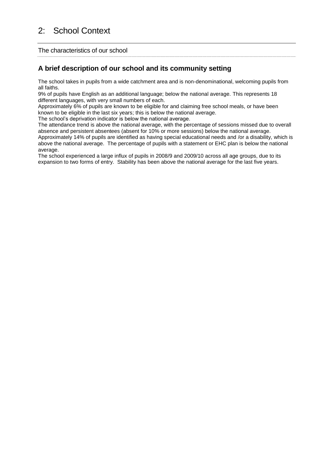<span id="page-5-0"></span>The characteristics of our school

#### **A brief description of our school and its community setting**

The school takes in pupils from a wide catchment area and is non-denominational, welcoming pupils from all faiths.

9% of pupils have English as an additional language; below the national average. This represents 18 different languages, with very small numbers of each.

Approximately 6% of pupils are known to be eligible for and claiming free school meals, or have been known to be eligible in the last six years; this is below the national average.

The school's deprivation indicator is below the national average.

The attendance trend is above the national average, with the percentage of sessions missed due to overall absence and persistent absentees (absent for 10% or more sessions) below the national average. Approximately 14% of pupils are identified as having special educational needs and /or a disability, which is above the national average. The percentage of pupils with a statement or EHC plan is below the national average.

The school experienced a large influx of pupils in 2008/9 and 2009/10 across all age groups, due to its expansion to two forms of entry. Stability has been above the national average for the last five years.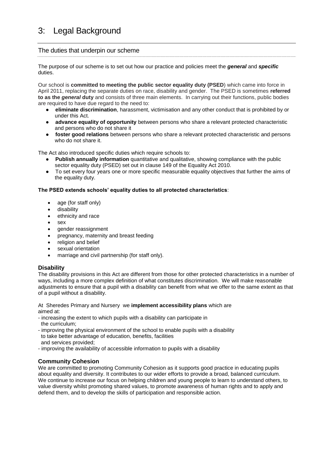#### <span id="page-6-0"></span>The duties that underpin our scheme

The purpose of our scheme is to set out how our practice and policies meet the *general* and *specific* duties.

Our school is **committed to meeting the public sector equality duty (PSED**) which came into force in April 2011, replacing the separate duties on race, disability and gender. The PSED is sometimes **referred to as the** *general* **duty** and consists of three main elements. In carrying out their functions, public bodies are required to have due regard to the need to:

- **eliminate discrimination**, harassment, victimisation and any other conduct that is prohibited by or under this Act.
- **advance equality of opportunity** between persons who share a relevant protected characteristic and persons who do not share it
- **foster good relations** between persons who share a relevant protected characteristic and persons who do not share it.

The Act also introduced specific duties which require schools to:

- **Publish annually information** quantitative and qualitative, showing compliance with the public sector equality duty (PSED) set out in clause 149 of the Equality Act 2010.
- To set every four years one or more specific measurable equality objectives that further the aims of the equality duty.

#### **The PSED extends schools' equality duties to all protected characteristics**:

- age (for staff only)
- **•** disability
- ethnicity and race
- sex
- aender reassignment
- pregnancy, maternity and breast feeding
- religion and belief
- sexual orientation
- marriage and civil partnership (for staff only).

#### **Disability**

The disability provisions in this Act are different from those for other protected characteristics in a number of ways, including a more complex definition of what constitutes discrimination. We will make reasonable adjustments to ensure that a pupil with a disability can benefit from what we offer to the same extent as that of a pupil without a disability.

At Sheredes Primary and Nursery we **implement accessibility plans** which are aimed at:

- increasing the extent to which pupils with a disability can participate in the curriculum;
- improving the physical environment of the school to enable pupils with a disability to take better advantage of education, benefits, facilities
- and services provided;
- improving the availability of accessible information to pupils with a disability

#### **Community Cohesion**

We are committed to promoting Community Cohesion as it supports good practice in educating pupils about equality and diversity. It contributes to our wider efforts to provide a broad, balanced curriculum. We continue to increase our focus on helping children and young people to learn to understand others, to value diversity whilst promoting shared values, to promote awareness of human rights and to apply and defend them, and to develop the skills of participation and responsible action.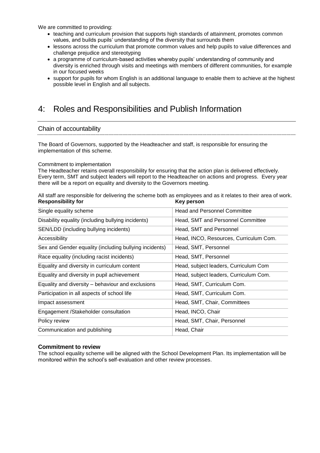We are committed to providing:

- teaching and curriculum provision that supports high standards of attainment, promotes common values, and builds pupils' understanding of the diversity that surrounds them
- lessons across the curriculum that promote common values and help pupils to value differences and challenge prejudice and stereotyping
- a programme of curriculum-based activities whereby pupils' understanding of community and diversity is enriched through visits and meetings with members of different communities, for example in our focused weeks
- support for pupils for whom English is an additional language to enable them to achieve at the highest possible level in English and all subjects.

### <span id="page-7-0"></span>4: Roles and Responsibilities and Publish Information

#### Chain of accountability

The Board of Governors, supported by the Headteacher and staff, is responsible for ensuring the implementation of this scheme.

#### Commitment to implementation

The Headteacher retains overall responsibility for ensuring that the action plan is delivered effectively. Every term, SMT and subject leaders will report to the Headteacher on actions and progress. Every year there will be a report on equality and diversity to the Governors meeting.

All staff are responsible for delivering the scheme both as employees and as it relates to their area of work. **Responsibility for Key person**

| Single equality scheme                                 | <b>Head and Personnel Committee</b>    |
|--------------------------------------------------------|----------------------------------------|
| Disability equality (including bullying incidents)     | Head, SMT and Personnel Committee      |
| SEN/LDD (including bullying incidents)                 | Head, SMT and Personnel                |
| Accessibility                                          | Head, INCO, Resources, Curriculum Com. |
| Sex and Gender equality (including bullying incidents) | Head, SMT, Personnel                   |
| Race equality (including racist incidents)             | Head, SMT, Personnel                   |
| Equality and diversity in curriculum content           | Head, subject leaders, Curriculum Com  |
| Equality and diversity in pupil achievement            | Head, subject leaders, Curriculum Com. |
| Equality and diversity – behaviour and exclusions      | Head, SMT, Curriculum Com.             |
| Participation in all aspects of school life            | Head, SMT, Curriculum Com.             |
| Impact assessment                                      | Head, SMT, Chair, Committees           |
| Engagement / Stakeholder consultation                  | Head, INCO, Chair                      |
| Policy review                                          | Head, SMT, Chair, Personnel            |
| Communication and publishing                           | Head, Chair                            |
|                                                        |                                        |

#### **Commitment to review**

The school equality scheme will be aligned with the School Development Plan. Its implementation will be monitored within the school's self-evaluation and other review processes.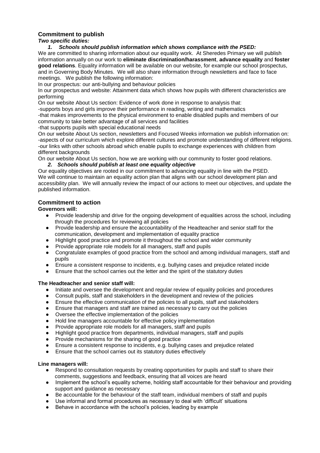#### **Commitment to publish**

*Two specific duties:*

#### *1. Schools should publish information which shows compliance with the PSED:*

We are committed to sharing information about our equality work. At Sheredes Primary we will publish information annually on our work to **eliminate discrimination/harassment**, **advance equality** and **foster good relations**. Equality information will be available on our website, for example our school prospectus, and in Governing Body Minutes. We will also share information through newsletters and face to face meetings. We publish the following information:

In our prospectus: our anti-bullying and behaviour policies

In our prospectus and website: Attainment data which shows how pupils with different characteristics are performing

On our website About Us section: Evidence of work done in response to analysis that:

-supports boys and girls improve their performance in reading, writing and mathematics

-that makes improvements to the physical environment to enable disabled pupils and members of our community to take better advantage of all services and facilities

-that supports pupils with special educational needs

On our website About Us section, newsletters and Focused Weeks information we publish information on: -aspects of our curriculum which explore different cultures and promote understanding of different religions. -our links with other schools abroad which enable pupils to exchange experiences with children from different backgrounds

On our website About Us section, how we are working with our community to foster good relations.

#### *2. Schools should publish at least one equality objective*

Our equality objectives are rooted in our commitment to advancing equality in line with the PSED. We will continue to maintain an equality action plan that aligns with our school development plan and accessibility plan. We will annually review the impact of our actions to meet our objectives, and update the published information.

#### **Commitment to action**

#### **Governors will:**

- Provide leadership and drive for the ongoing development of equalities across the school, including through the procedures for reviewing all policies
- Provide leadership and ensure the accountability of the Headteacher and senior staff for the communication, development and implementation of equality practice
- Highlight good practice and promote it throughout the school and wider community
- Provide appropriate role models for all managers, staff and pupils
- Congratulate examples of good practice from the school and among individual managers, staff and pupils
- Ensure a consistent response to incidents, e.g. bullying cases and prejudice related incide
- Ensure that the school carries out the letter and the spirit of the statutory duties

#### **The Headteacher and senior staff will:**

- Initiate and oversee the development and regular review of equality policies and procedures
- Consult pupils, staff and stakeholders in the development and review of the policies
- Ensure the effective communication of the policies to all pupils, staff and stakeholders
- Ensure that managers and staff are trained as necessary to carry out the policies
- Oversee the effective implementation of the policies
- Hold line managers accountable for effective policy implementation
- Provide appropriate role models for all managers, staff and pupils
- Highlight good practice from departments, individual managers, staff and pupils
- Provide mechanisms for the sharing of good practice
- Ensure a consistent response to incidents, e.g. bullying cases and prejudice related
- Ensure that the school carries out its statutory duties effectively

#### **Line managers will:**

- Respond to consultation requests by creating opportunities for pupils and staff to share their comments, suggestions and feedback, ensuring that all voices are heard
- Implement the school's equality scheme, holding staff accountable for their behaviour and providing support and guidance as necessary
- Be accountable for the behaviour of the staff team, individual members of staff and pupils
- Use informal and formal procedures as necessary to deal with 'difficult' situations
- Behave in accordance with the school's policies, leading by example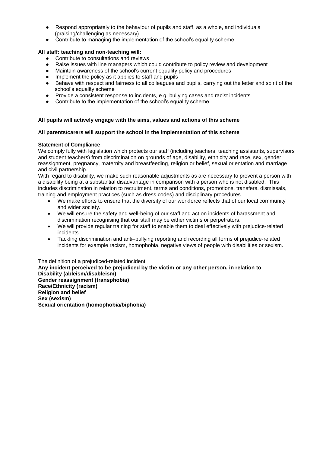- Respond appropriately to the behaviour of pupils and staff, as a whole, and individuals (praising/challenging as necessary)
- Contribute to managing the implementation of the school's equality scheme

#### **All staff: teaching and non-teaching will:**

- Contribute to consultations and reviews
- Raise issues with line managers which could contribute to policy review and development
- Maintain awareness of the school's current equality policy and procedures
- Implement the policy as it applies to staff and pupils
- Behave with respect and fairness to all colleagues and pupils, carrying out the letter and spirit of the school's equality scheme
- Provide a consistent response to incidents, e.g. bullying cases and racist incidents
- Contribute to the implementation of the school's equality scheme

#### **All pupils will actively engage with the aims, values and actions of this scheme**

#### **All parents/carers will support the school in the implementation of this scheme**

#### **Statement of Compliance**

We comply fully with legislation which protects our staff (including teachers, teaching assistants, supervisors and student teachers) from discrimination on grounds of age, disability, ethnicity and race, sex, gender reassignment, pregnancy, maternity and breastfeeding, religion or belief, sexual orientation and marriage and civil partnership.

With regard to disability, we make such reasonable adjustments as are necessary to prevent a person with a disability being at a substantial disadvantage in comparison with a person who is not disabled. This includes discrimination in relation to recruitment, terms and conditions, promotions, transfers, dismissals, training and employment practices (such as dress codes) and disciplinary procedures.

- We make efforts to ensure that the diversity of our workforce reflects that of our local community and wider society.
- We will ensure the safety and well-being of our staff and act on incidents of harassment and discrimination recognising that our staff may be either victims or perpetrators.
- We will provide regular training for staff to enable them to deal effectively with prejudice-related incidents
- Tackling discrimination and anti–bullying reporting and recording all forms of prejudice-related incidents for example racism, homophobia, negative views of people with disabilities or sexism.

<span id="page-9-0"></span>The definition of a prejudiced-related incident: **Any incident perceived to be prejudiced by the victim or any other person, in relation to Disability (ableism/disableism) Gender reassignment (transphobia) Race/Ethnicity (racism) Religion and belief Sex (sexism) Sexual orientation (homophobia/biphobia)**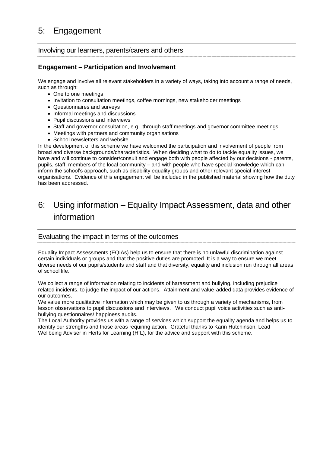## 5: Engagement

#### Involving our learners, parents/carers and others

#### **Engagement – Participation and Involvement**

We engage and involve all relevant stakeholders in a variety of ways, taking into account a range of needs, such as through:

- One to one meetings
- Invitation to consultation meetings, coffee mornings, new stakeholder meetings
- Questionnaires and surveys
- Informal meetings and discussions
- Pupil discussions and interviews
- Staff and governor consultation, e.g. through staff meetings and governor committee meetings
- Meetings with partners and community organisations
- School newsletters and website

In the development of this scheme we have welcomed the participation and involvement of people from broad and diverse backgrounds/characteristics. When deciding what to do to tackle equality issues, we have and will continue to consider/consult and engage both with people affected by our decisions - parents, pupils, staff, members of the local community – and with people who have special knowledge which can inform the school's approach, such as disability equality groups and other relevant special interest organisations. Evidence of this engagement will be included in the published material showing how the duty has been addressed.

## <span id="page-10-0"></span>6: Using information – Equality Impact Assessment, data and other information

#### Evaluating the impact in terms of the outcomes

Equality Impact Assessments (EQIAs) help us to ensure that there is no unlawful discrimination against certain individuals or groups and that the positive duties are promoted. It is a way to ensure we meet diverse needs of our pupils/students and staff and that diversity, equality and inclusion run through all areas of school life.

We collect a range of information relating to incidents of harassment and bullying, including prejudice related incidents, to judge the impact of our actions. Attainment and value-added data provides evidence of our outcomes.

We value more qualitative information which may be given to us through a variety of mechanisms, from lesson observations to pupil discussions and interviews. We conduct pupil voice activities such as antibullying questionnaires/ happiness audits.

<span id="page-10-1"></span>The Local Authority provides us with a range of services which support the equality agenda and helps us to identify our strengths and those areas requiring action. Grateful thanks to Karin Hutchinson, Lead Wellbeing Adviser in Herts for Learning (HfL), for the advice and support with this scheme.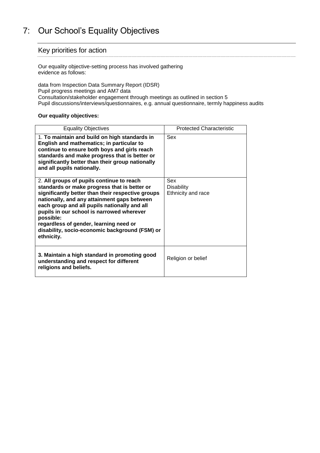## 7: Our School's Equality Objectives

#### Key priorities for action

Our equality objective-setting process has involved gathering evidence as follows:

data from Inspection Data Summary Report (IDSR) Pupil progress meetings and AM7 data Consultation/stakeholder engagement through meetings as outlined in section 5 Pupil discussions/interviews/questionnaires, e.g. annual questionnaire, termly happiness audits

#### **Our equality objectives:**

| <b>Equality Objectives</b>                                                                                                                                                                                                                                                                                                                                                                                        | <b>Protected Characteristic</b>                |
|-------------------------------------------------------------------------------------------------------------------------------------------------------------------------------------------------------------------------------------------------------------------------------------------------------------------------------------------------------------------------------------------------------------------|------------------------------------------------|
| 1. To maintain and build on high standards in<br>English and mathematics; in particular to<br>continue to ensure both boys and girls reach<br>standards and make progress that is better or<br>significantly better than their group nationally<br>and all pupils nationally.                                                                                                                                     | Sex                                            |
| 2. All groups of pupils continue to reach<br>standards or make progress that is better or<br>significantly better than their respective groups<br>nationally, and any attainment gaps between<br>each group and all pupils nationally and all<br>pupils in our school is narrowed wherever<br>possible:<br>regardless of gender, learning need or<br>disability, socio-economic background (FSM) or<br>ethnicity. | Sex<br><b>Disability</b><br>Ethnicity and race |
| 3. Maintain a high standard in promoting good<br>understanding and respect for different<br>religions and beliefs.                                                                                                                                                                                                                                                                                                | Religion or belief                             |